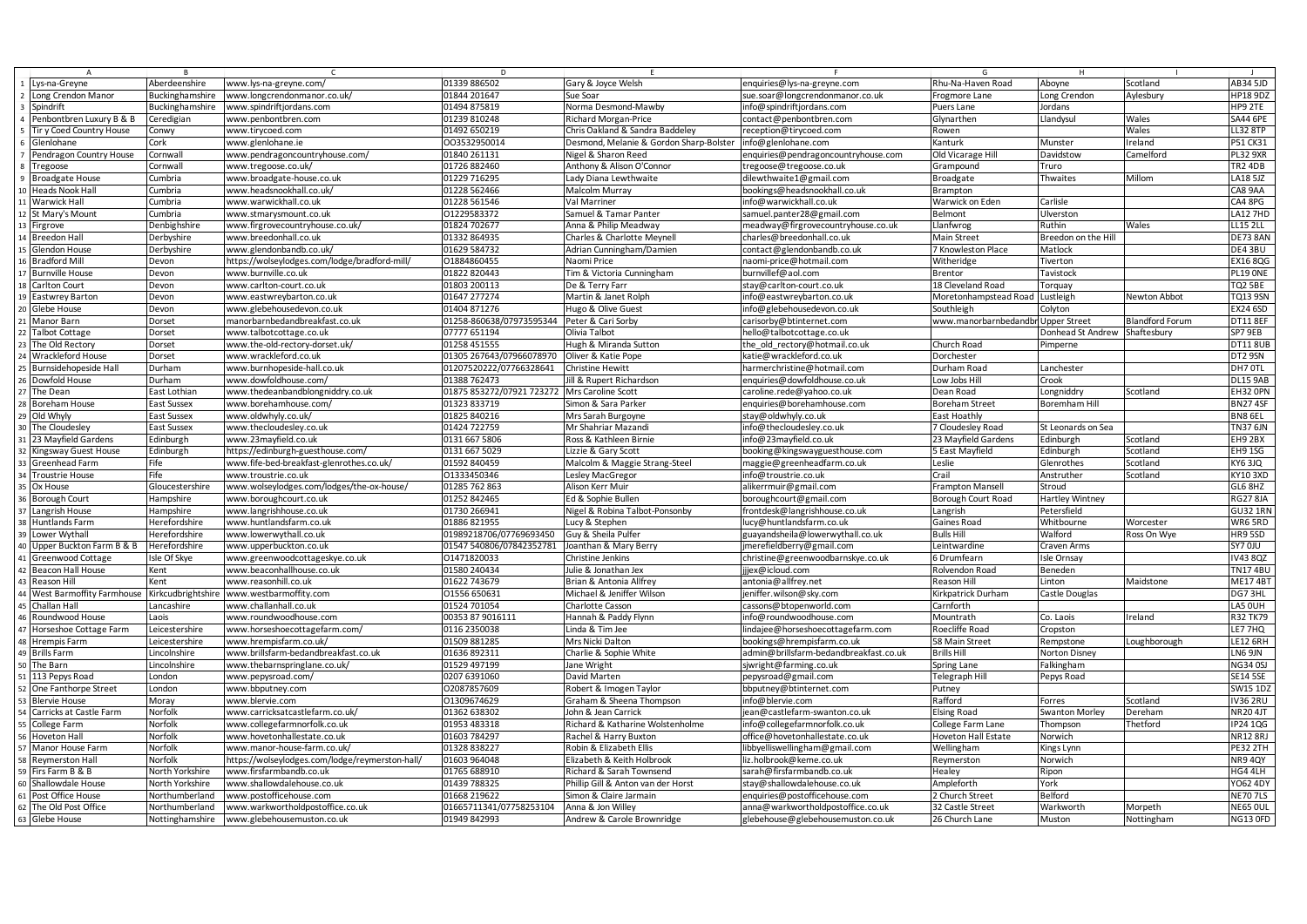|                                                                     | R                                 |                                                                | D                                       |                                                 |                                                                        | G                                  | H                     |                        |                             |
|---------------------------------------------------------------------|-----------------------------------|----------------------------------------------------------------|-----------------------------------------|-------------------------------------------------|------------------------------------------------------------------------|------------------------------------|-----------------------|------------------------|-----------------------------|
| Lys-na-Greyne                                                       | Aberdeenshire                     | www.lys-na-greyne.com/                                         | 01339 886502                            | Gary & Joyce Welsh                              | enquiries@lys-na-greyne.com                                            | Rhu-Na-Haven Road                  | Aboyne                | Scotland               | AB34 5JD                    |
| Long Crendon Manor                                                  | <b>Buckinghamshire</b>            | www.longcrendonmanor.co.uk/                                    | 01844 201647                            | Sue Soar                                        | sue.soar@longcrendonmanor.co.uk                                        | Frogmore Lane                      | Long Crendon          | Aylesbury              | <b>HP18 9DZ</b>             |
| Spindrift                                                           | Buckinghamshire                   | www.spindriftjordans.com                                       | 01494 875819                            | Norma Desmond-Mawby                             | nfo@spindriftjordans.com                                               | Puers Lane                         | Jordans               |                        | HP9 2TE                     |
| Penbontbren Luxury B & B                                            | Ceredigian                        | www.penbontbren.com                                            | 01239 810248                            | Richard Morgan-Price                            | contact@penbontbren.com                                                | Glynarthen                         | Llandysul             | Wales                  | SA44 6PE                    |
| Tir y Coed Country House                                            | Conwy                             | www.tirycoed.com                                               | 01492 650219                            | Chris Oakland & Sandra Baddeley                 | eception@tirycoed.com                                                  | Rowen                              |                       | Wales                  | <b>L32 8TP</b>              |
| Glenlohane                                                          | Cork                              | www.glenlohane.ie                                              | 003532950014                            | Desmond, Melanie & Gordon Sharp-Bolster         | info@glenlohane.com                                                    | Kanturk                            | Munster               | Ireland                | P51 CK31                    |
| Pendragon Country House                                             | Cornwall                          | www.pendragoncountryhouse.com/                                 | 01840 261131                            | Nigel & Sharon Reed                             | enquiries@pendragoncountryhouse.com                                    | Old Vicarage Hill                  | Davidstow             | Camelford              | <b>PL32 9XR</b>             |
| Tregoose                                                            | Cornwall                          | www.tregoose.co.uk/                                            | 01726 882460                            | Anthony & Alison O'Connor                       | regoose@tregoose.co.uk                                                 | Grampound                          | Truro                 |                        | TR <sub>2</sub> 4DB         |
|                                                                     | Cumbria                           |                                                                | 01229 716295                            |                                                 |                                                                        |                                    |                       | Millom                 | <b>LA18 5JZ</b>             |
| <b>Broadgate House</b>                                              |                                   | www.broadgate-house.co.uk                                      |                                         | Lady Diana Lewthwaite                           | dilewthwaite1@gmail.com                                                | Broadgate                          | Thwaites              |                        |                             |
| <b>Heads Nook Hall</b>                                              | Cumbria                           | www.headsnookhall.co.uk/                                       | 01228 562466                            | Malcolm Murray                                  | oookings@headsnookhall.co.uk                                           | <b>Brampton</b>                    |                       |                        | CA8 9AA                     |
| Warwick Hall                                                        | Cumbria                           | www.warwickhall.co.uk                                          | 01228 561546                            | Val Marriner                                    | nfo@warwickhall.co.uk                                                  | Warwick on Eden                    | Carlisle              |                        | CA4 8PG                     |
| St Mary's Mount                                                     | Cumbria                           | www.stmarysmount.co.uk                                         | 01229583372                             | Samuel & Tamar Panter                           | samuel.panter28@gmail.com                                              | <b>Belmont</b>                     | Ulverston             |                        | <b>A12 7HD</b>              |
| Firgrove                                                            | Denbighshire                      | www.firgrovecountryhouse.co.uk/                                | 01824 702677                            | Anna & Philip Meadway                           | meadway@firgrovecountryhouse.co.uk                                     | Llanfwrog                          | Ruthin                | Wales                  | LL15 2LL                    |
| <b>Breedon Hall</b>                                                 | Derbyshire                        | www.breedonhall.co.uk                                          | 01332 864935                            | Charles & Charlotte Meynell                     | charles@breedonhall.co.uk                                              | Main Street                        | Breedon on the Hill   |                        | <b>DE73 8AN</b>             |
| Glendon House                                                       | <b>Derbyshire</b>                 | www.glendonbandb.co.uk/                                        | 01629 584732                            | Adrian Cunningham/Damien                        | contact@glendonbandb.co.uk                                             | 7 Knowleston Place                 | Matlock               |                        | DE43BU                      |
| <b>Bradford Mill</b>                                                | Devon                             | https://wolseylodges.com/lodge/bradford-mill/                  | 01884860455                             | Naomi Price                                     | naomi-price@hotmail.com                                                | Witheridge                         | Tiverton              |                        | EX16 8QG                    |
| <b>Burnville House</b>                                              | Devon                             | www.burnville.co.uk                                            | 01822 820443                            | Tim & Victoria Cunningham                       | burnvillef@aol.com                                                     | Brentor                            | Tavistocl             |                        | PL19 ONE                    |
| Carlton Court                                                       | Devon                             | www.carlton-court.co.uk                                        | 01803 200113                            | De & Terry Farr                                 | stay@carlton-court.co.uk                                               | 18 Cleveland Road                  | Torquay               |                        | <b>TQ2 5BE</b>              |
| <b>Eastwrey Barton</b>                                              | Devon                             | www.eastwreybarton.co.uk                                       | 01647 277274                            | Martin & Janet Rolph                            | nfo@eastwreybarton.co.uk                                               | Moretonhampstead Road              | Lustleigh             | Newton Abbot           | <b>TQ13 9SN</b>             |
| Glebe House                                                         | Devon                             | www.glebehousedevon.co.uk                                      | 01404 871276                            | Hugo & Olive Guest                              | nfo@glebehousedevon.co.uk                                              | Southleigh                         | Colyton               |                        | <b>EX24 6SD</b>             |
|                                                                     |                                   |                                                                |                                         |                                                 |                                                                        |                                    |                       |                        |                             |
| Manor Barn                                                          | Dorset                            | manorbarnbedandbreakfast.co.uk                                 | 01258-860638/07973595344                | Peter & Cari Sorby                              | carisorby@btinternet.com                                               | www.manorbarnbedandbr Upper Street |                       | <b>Blandford Forum</b> | <b>DT11 8EF</b>             |
| <b>Talbot Cottage</b>                                               | Dorset                            | www.talbotcottage.co.uk                                        | 07777 651194                            | Olivia Talbot                                   | nello@talbotcottage.co.uk                                              |                                    | Donhead St Andrew     | Shaftesbury            | SP7 9EB                     |
| The Old Rectory                                                     | Dorset                            | www.the-old-rectory-dorset.uk/                                 | 01258 451555                            | Hugh & Miranda Sutton                           | the old rectory@hotmail.co.uk                                          | Church Road                        | Pimperne              |                        | <b>DT11 8UB</b>             |
| <b>Wrackleford House</b>                                            | Dorset                            | www.wrackleford.co.uk                                          | 01305 267643/07966078970                | Oliver & Katie Pope                             | katie@wrackleford.co.uk                                                | Dorchester                         |                       |                        | DT2 9SN                     |
| Burnsidehopeside Hall                                               | Durham                            | www.burnhopeside-hall.co.uk                                    | 01207520222/07766328641                 | <b>Christine Hewitt</b>                         | narmerchristine@hotmail.com                                            | Durham Road                        | Lanchester            |                        | DH7 OTL                     |
| Dowfold House                                                       | Durham                            | www.dowfoldhouse.com/                                          | 01388 762473                            | lill & Rupert Richardson                        | enquiries@dowfoldhouse.co.uk                                           | Low Jobs Hill                      | Crook                 |                        | <b>DL15 9AB</b>             |
| The Dean                                                            | East Lothiar                      | www.thedeanbandblongniddry.co.uk                               | 01875 853272/07921 723272               | Mrs Caroline Scott                              | caroline.rede@yahoo.co.uk                                              | Dean Road                          | Longniddry            | Scotland               | EH32 OPN                    |
| <b>Boreham House</b>                                                | East Sussex                       | www.borehamhouse.com/                                          | 01323 833719                            | Simon & Sara Parker                             | enquiries@borehamhouse.com                                             | <b>Boreham Street</b>              | <b>Boremham Hill</b>  |                        | <b>BN274SF</b>              |
| Old Whyly                                                           | East Sussex                       | www.oldwhyly.co.uk/                                            | 01825 840216                            | Mrs Sarah Burgoyne                              | stay@oldwhyly.co.uk                                                    | East Hoathly                       |                       |                        | BN8 6EL                     |
| The Cloudesley                                                      | East Sussex                       | www.thecloudesley.co.uk                                        | 01424 722759                            | Mr Shahriar Mazandi                             | info@thecloudesley.co.uk                                               | 7 Cloudesley Road                  | St Leonards on Sea    |                        | TN37 6JN                    |
| 23 Mayfield Gardens                                                 | Edinburgh                         | www.23mayfield.co.uk                                           | 0131 667 5806                           | Ross & Kathleen Birnie                          | nfo@23mayfield.co.uk                                                   | 23 Mayfield Gardens                | Edinburgh             | Scotland               | EH9 2BX                     |
|                                                                     |                                   |                                                                |                                         |                                                 |                                                                        |                                    |                       |                        |                             |
|                                                                     |                                   |                                                                |                                         |                                                 |                                                                        |                                    |                       |                        |                             |
| Kingsway Guest House                                                | Edinburgh                         | https://edinburgh-guesthouse.com/                              | 0131 667 5029                           | Lizzie & Gary Scott                             | oooking@kingswayguesthouse.com                                         | 5 East Mayfield                    | Edinburgh             | Scotland               | EH9 1SG                     |
| Greenhead Farm                                                      | Fife                              | www.fife-bed-breakfast-glenrothes.co.uk/                       | 01592 840459                            | Malcolm & Maggie Strang-Steel                   | maggie@greenheadfarm.co.uk                                             | Leslie                             | Glenrothes            | Scotland               | KY6 3JQ                     |
| Troustrie House                                                     | Fife                              | www.troustrie.co.uk                                            | 01333450346                             | Lesley MacGregor                                | nfo@troustrie.co.uk                                                    | Crail                              | Anstruther            | Scotland               | KY10 3XD                    |
| Ox House                                                            | Gloucestershire                   | www.wolseylodges.com/lodges/the-ox-house/                      | 01285 762 863                           | Alison Kerr Muir                                | alikerrmuir@gmail.com                                                  | Frampton Mansell                   | Stroud                |                        | GL6 8HZ                     |
| <b>Borough Court</b>                                                | Hampshire                         | www.boroughcourt.co.uk                                         | 01252 842465                            | Ed & Sophie Bullen                              | boroughcourt@gmail.com                                                 | Borough Court Road                 | Hartley Wintney       |                        | <b>RG27 8JA</b>             |
| Langrish House                                                      | <b>Hampshire</b>                  | www.langrishhouse.co.uk                                        | 01730 266941                            | Nigel & Robina Talbot-Ponsonby                  | frontdesk@langrishhouse.co.uk                                          | Langrish                           | Petersfield           |                        | <b>GU32 1RN</b>             |
| Huntlands Farm                                                      | lerefordshir                      | www.huntlandsfarm.co.uk                                        | 01886 821955                            | Lucy & Stephen                                  | ucy@huntlandsfarm.co.uk                                                | Gaines Road                        | Whitbourne            | Worcester              | WR6 5RD                     |
| Lower Wythall                                                       | Herefordshir                      | www.lowerwythall.co.uk                                         | 01989218706/07769693450                 | Guy & Sheila Pulfer                             | zuayandsheila@lowerwythall.co.uk                                       | <b>Bulls Hill</b>                  | Walford               | Ross On Wye            | HR9 5SD                     |
| Upper Buckton Farm B & B                                            | <b>Herefordshire</b>              | www.upperbuckton.co.uk                                         | 01547 540806/07842352781                | Joanthan & Mary Berry                           | merefieldberry@gmail.com                                               | Leintwardine                       | Craven Arms           |                        | <b>SY7 0JU</b>              |
| Greenwood Cottage                                                   | sle Of Skye                       | www.greenwoodcottageskye.co.uk                                 | 01471820033                             | Christine Jenkins                               | christine@greenwoodbarnskye.co.uk                                      | 5 Drumfearn                        | Isle Ornsay           |                        | <b>IV43 8QZ</b>             |
| <b>Beacon Hall House</b>                                            | Kent                              | www.beaconhallhouse.co.uk                                      | 01580 240434                            | Julie & Jonathan Jex                            | jjex@icloud.com                                                        | Rolvendon Road                     | Beneden               |                        | <b>TN174BL</b>              |
| Reason Hill                                                         | Kent                              | www.reasonhill.co.uk                                           | 01622 743679                            | Brian & Antonia Allfrey                         | antonia@allfrey.net                                                    | Reason Hill                        | Linton                | Maidstone              | ME174B1                     |
|                                                                     |                                   |                                                                | 01556 650631                            | Michael & Jeniffer Wilson                       | eniffer.wilson@sky.com                                                 | Grkpatrick Durham                  |                       |                        | DG73HL                      |
| West Barmoffity Farmhouse Kirkcudbrightshire www.westbarmoffity.com |                                   |                                                                |                                         |                                                 |                                                                        |                                    | Castle Douglas        |                        |                             |
| Challan Hall                                                        | ancashire                         | www.challanhall.co.uk                                          | 01524 701054                            | <b>Charlotte Casson</b>                         | cassons@btopenworld.com                                                | Carnforth                          |                       |                        | LA5 OUH                     |
| Roundwood House                                                     | aois                              | www.roundwoodhouse.com                                         | 00353 87 9016111                        | Hannah & Paddy Flynn                            | nfo@roundwoodhouse.com                                                 | Mountrath                          | Co. Laois             | Ireland                | <b>32 TK79</b>              |
| Horseshoe Cottage Farm                                              | eicestershire.                    | www.horseshoecottagefarm.com/                                  | 0116 2350038                            | Linda & Tim Jee                                 | indajee@horseshoecottagefarm.com                                       | Roecliffe Road                     | Cropston              |                        | E77HQ                       |
| <b>Hrempis Farm</b>                                                 | Leicestershire                    | www.hrempisfarm.co.uk/                                         | 01509 881285                            | Mrs Nicki Dalton                                | bookings@hrempisfarm.co.uk                                             | 58 Main Street                     | Rempstone             | Loughborough           | <b>LE12 6RH</b>             |
| <b>Brills Farm</b>                                                  | .incolnshire                      | www.brillsfarm-bedandbreakfast.co.uk                           | 01636 892311                            | Charlie & Sophie White                          | admin@brillsfarm-bedandbreakfast.co.uk                                 | Brills Hill                        | Norton Disney         |                        | LN6 9JN                     |
| The Barn                                                            | .incolnshire                      | www.thebarnspringlane.co.uk/                                   | 01529 497199                            | Jane Wright                                     | sjwright@farming.co.uk                                                 | Spring Lane                        | Falkingham            |                        | <b>NG34 0SJ</b>             |
| 113 Pepys Road                                                      | London                            | www.pepysroad.com/                                             | 0207 6391060                            | David Marten                                    | pepysroad@gmail.com                                                    | Telegraph Hil                      | Pepys Road            |                        | <b>SE14 5SE</b>             |
| One Fanthorpe Street                                                | .ondon                            | www.bbputney.com                                               | 02087857609                             | Robert & Imogen Taylor                          | bbputney@btinternet.com                                                | Putney                             |                       |                        | SW15 1DZ                    |
| <b>Blervie House</b>                                                | Moray                             | www.blervie.com                                                | 01309674629                             | Graham & Sheena Thompson                        | nfo@blervie.com                                                        | Rafford                            | Forres                | Scotland               | <b>V36 2RU</b>              |
| Carricks at Castle Farm                                             | Norfolk                           | www.carricksatcastlefarm.co.uk/                                | 01362 638302                            | Iohn & Jean Carrick                             | ean@castlefarm-swanton.co.uk                                           | Elsing Road                        | <b>Swanton Morley</b> | Dereham                | <b>NR204JT</b>              |
| College Farm                                                        | Norfolk                           | www.collegefarmnorfolk.co.uk                                   | 01953 483318                            | Richard & Katharine Wolstenholme                | nfo@collegefarmnorfolk.co.uk                                           | College Farm Lane                  | Thompson              | Thetford               | <b>IP24 1QG</b>             |
| <b>Hoveton Hall</b>                                                 | Norfolk                           | www.hovetonhallestate.co.uk                                    | 01603 784297                            | Rachel & Harry Buxton                           | office@hovetonhallestate.co.uk                                         | Hoveton Hall Estate                | Norwich               |                        | <b>NR12 8RJ</b>             |
| Manor House Farm                                                    | Norfolk                           | www.manor-house-farm.co.uk/                                    | 01328 838227                            | Robin & Elizabeth Ellis                         | ibbyelliswellingham@gmail.com                                          |                                    |                       |                        | <b>PE32 2TH</b>             |
|                                                                     | Norfolk                           |                                                                |                                         |                                                 |                                                                        | Wellingham                         | Kings Lynn            |                        |                             |
| Reymerston Hal                                                      |                                   | https://wolseylodges.com/lodge/reymerston-hall/                | 01603 964048                            | Elizabeth & Keith Holbrook                      | liz.holbrook@keme.co.uk                                                | Reymerston                         | Norwich               |                        | <b>NR9 4QY</b>              |
| Firs Farm B & B                                                     | North Yorkshire                   | www.firsfarmbandb.co.uk                                        | 01765 688910                            | Richard & Sarah Townsend                        | sarah@firsfarmbandb.co.uk                                              | Healey                             | Ripon                 |                        | HG4 4LH                     |
| Shallowdale House                                                   | North Yorkshire                   | www.shallowdalehouse.co.uk                                     | 01439 788325                            | Phillip Gill & Anton van der Horst              | stay@shallowdalehouse.co.uk                                            | Ampleforth                         | York                  |                        | YO62 4DY                    |
| Post Office House                                                   | Northumberland                    | www.postofficehouse.com                                        | 01668 219622                            | Simon & Claire Jarmain                          | enquiries@postofficehouse.com                                          | ? Church Street                    | Belford               |                        | <b>NE707LS</b>              |
| The Old Post Office<br>62<br>63 Glebe House                         | Northumberland<br>Nottinghamshire | www.warkwortholdpostoffice.co.uk<br>www.glebehousemuston.co.uk | 01665711341/07758253104<br>01949 842993 | Anna & Jon Willey<br>Andrew & Carole Brownridge | anna@warkwortholdpostoffice.co.uk<br>glebehouse@glebehousemuston.co.uk | 32 Castle Street<br>26 Church Lane | Warkworth<br>Muston   | Morpeth<br>Nottingham  | <b>NE65 OUL</b><br>NG13 OFD |